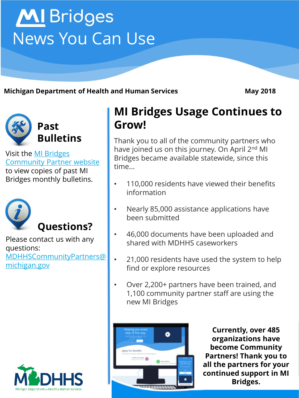# **MI** Bridges News You Can Use

**Michigan Department of Health and Human Services May 2018**



Visit the MI Bridges [Community Partner website](http://www.michigan.gov/mdhhs/0,5885,7-339-71551_82637---,00.html)  to view copies of past MI Bridges monthly bulletins.



Please contact us with any questions: [MDHHSCommunityPartners@](mailto:MDHHSCommunityPartners@michigan.gov) michigan.gov



### **MI Bridges Usage Continues to Grow!**

Thank you to all of the community partners who have joined us on this journey. On April 2<sup>nd</sup> MI Bridges became available statewide, since this time...

- 110,000 residents have viewed their benefits information
- Nearly 85,000 assistance applications have been submitted
- 46,000 documents have been uploaded and shared with MDHHS caseworkers
- 21,000 residents have used the system to help find or explore resources
- Over 2,200+ partners have been trained, and 1,100 community partner staff are using the new MI Bridges



**Currently, over 485 organizations have become Community Partners! Thank you to all the partners for your continued support in MI Bridges.** 

Page 1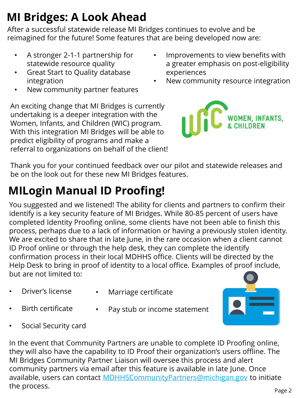# **MI Bridges: A Look Ahead**

After a successful statewide release MI Bridges continues to evolve and be reimagined for the future! Some features that are being developed now are:

- A stronger 2-1-1 partnership for statewide resource quality
- Great Start to Quality database integration
- New community partner features

Improvements to view benefits with a greater emphasis on post-eligibility experiences

New community resource integration





Thank you for your continued feedback over our pilot and statewide releases and be on the look out for these new MI Bridges features.

# **MILogin Manual ID Proofing!**

You suggested and we listened! The ability for clients and partners to confirm their identify is a key security feature of MI Bridges. While 80-85 percent of users have completed Identity Proofing online, some clients have not been able to finish this process, perhaps due to a lack of information or having a previously stolen identity. We are excited to share that in late June, in the rare occasion when a client cannot ID Proof online or through the help desk, they can complete the identify confirmation process in their local MDHHS office. Clients will be directed by the Help Desk to bring in proof of identity to a local office. Examples of proof include, but are not limited to:

- Driver's license
- Marriage certificate
- Birth certificate
- Pay stub or income statement
- Social Security card

In the event that Community Partners are unable to complete ID Proofing online, they will also have the capability to ID Proof their organization's users offline. The MI Bridges Community Partner Liaison will oversee this process and alert community partners via email after this feature is available in late June. Once available, users can contact [MDHHSCommunityPartners@michigan.gov](mailto:MDHHSCommunityPartners@michigan.gov) to initiate the process.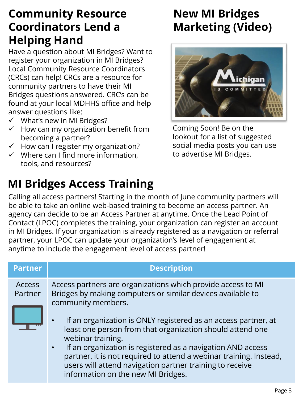### **Community Resource Coordinators Lend a Helping Hand**

Have a question about MI Bridges? Want to register your organization in MI Bridges? Local Community Resource Coordinators (CRCs) can help! CRCs are a resource for community partners to have their MI Bridges questions answered. CRC's can be found at your local MDHHS office and help answer questions like:

- $\checkmark$  What's new in MI Bridges?
- $\checkmark$  How can my organization benefit from becoming a partner?
- $\checkmark$  How can I register my organization?
- $\checkmark$  Where can I find more information. tools, and resources?

## **MI Bridges Access Training**

### **New MI Bridges Marketing (Video)**



Coming Soon! Be on the lookout for a list of suggested social media posts you can use to advertise MI Bridges.

Calling all access partners! Starting in the month of June community partners will be able to take an online web-based training to become an access partner. An agency can decide to be an Access Partner at anytime. Once the Lead Point of Contact (LPOC) completes the training, your organization can register an account in MI Bridges. If your organization is already registered as a navigation or referral partner, your LPOC can update your organization's level of engagement at anytime to include the engagement level of access partner!

| <b>Partner</b>    | <b>Description</b>                                                                                                                                                                                                                                                                                                                                                                                                                                                                                                                           |
|-------------------|----------------------------------------------------------------------------------------------------------------------------------------------------------------------------------------------------------------------------------------------------------------------------------------------------------------------------------------------------------------------------------------------------------------------------------------------------------------------------------------------------------------------------------------------|
| Access<br>Partner | Access partners are organizations which provide access to MI<br>Bridges by making computers or similar devices available to<br>community members.<br>If an organization is ONLY registered as an access partner, at<br>least one person from that organization should attend one<br>webinar training.<br>If an organization is registered as a navigation AND access<br>partner, it is not required to attend a webinar training. Instead,<br>users will attend navigation partner training to receive<br>information on the new MI Bridges. |